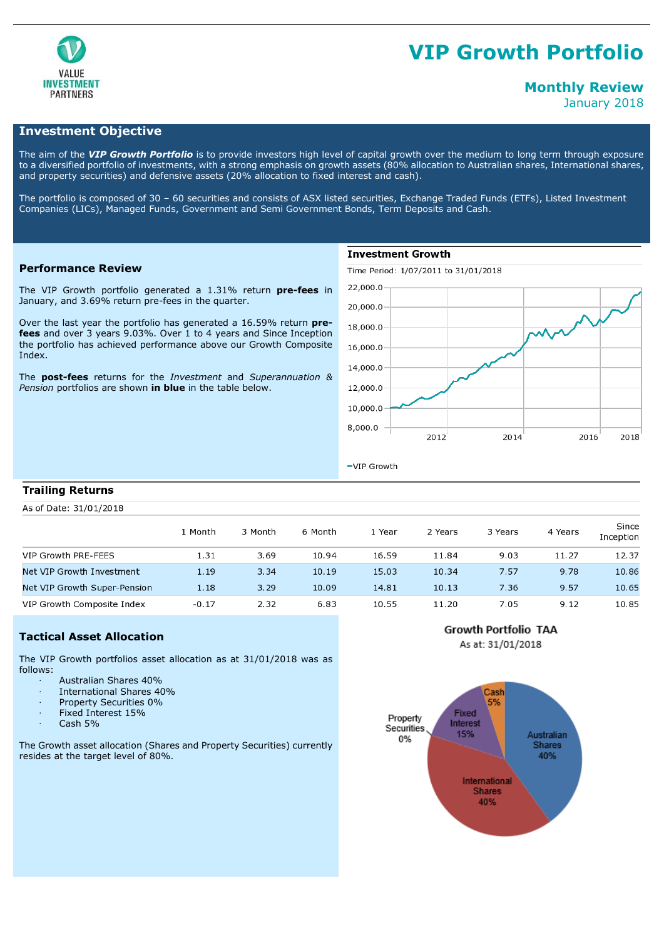

# **VIP Growth Portfolio**

# **Monthly Review**

January 2018

# **Investment Objective**

The aim of the *VIP Growth Portfolio* is to provide investors high level of capital growth over the medium to long term through exposure to a diversified portfolio of investments, with a strong emphasis on growth assets (80% allocation to Australian shares, International shares, and property securities) and defensive assets (20% allocation to fixed interest and cash).

The portfolio is composed of 30 – 60 securities and consists of ASX listed securities, Exchange Traded Funds (ETFs), Listed Investment Companies (LICs), Managed Funds, Government and Semi Government Bonds, Term Deposits and Cash.

### **Performance Review**

The VIP Growth portfolio generated a 1.31% return **pre-fees** in January, and 3.69% return pre-fees in the quarter.

Over the last year the portfolio has generated a 16.59% return **prefees** and over 3 years 9.03%. Over 1 to 4 years and Since Inception the portfolio has achieved performance above our Growth Composite Index.

The **post-fees** returns for the *Investment* and *Superannuation & Pension* portfolios are shown **in blue** in the table below.

# **Investment Growth**

Time Period: 1/07/2011 to 31/01/2018



-VIP Growth

#### **Trailing Returns**

As of Date: 31/01/2018

|                              | L Month | 3 Month | 6 Month | . Year | 2 Years | 3 Years | 4 Years | Since<br>Inception |
|------------------------------|---------|---------|---------|--------|---------|---------|---------|--------------------|
| VIP Growth PRE-FEES          | 1.31    | 3.69    | 10.94   | 16.59  | 11.84   | 9.03    | 11.27   | 12.37              |
| Net VIP Growth Investment    | 1.19    | 3.34    | 10.19   | 15.03  | 10.34   | 7.57    | 9.78    | 10.86              |
| Net VIP Growth Super-Pension | 1.18    | 3.29    | 10.09   | 14.81  | 10.13   | 7.36    | 9.57    | 10.65              |
| VIP Growth Composite Index   | $-0.17$ | 2.32    | 6.83    | 10.55  | 11.20   | 7.05    | 9.12    | 10.85              |

# **Tactical Asset Allocation**

The VIP Growth portfolios asset allocation as at 31/01/2018 was as follows:

- · Australian Shares 40%
- · International Shares 40%
- Property Securities 0%
- Fixed Interest 15%
- Cash 5%

The Growth asset allocation (Shares and Property Securities) currently resides at the target level of 80%.



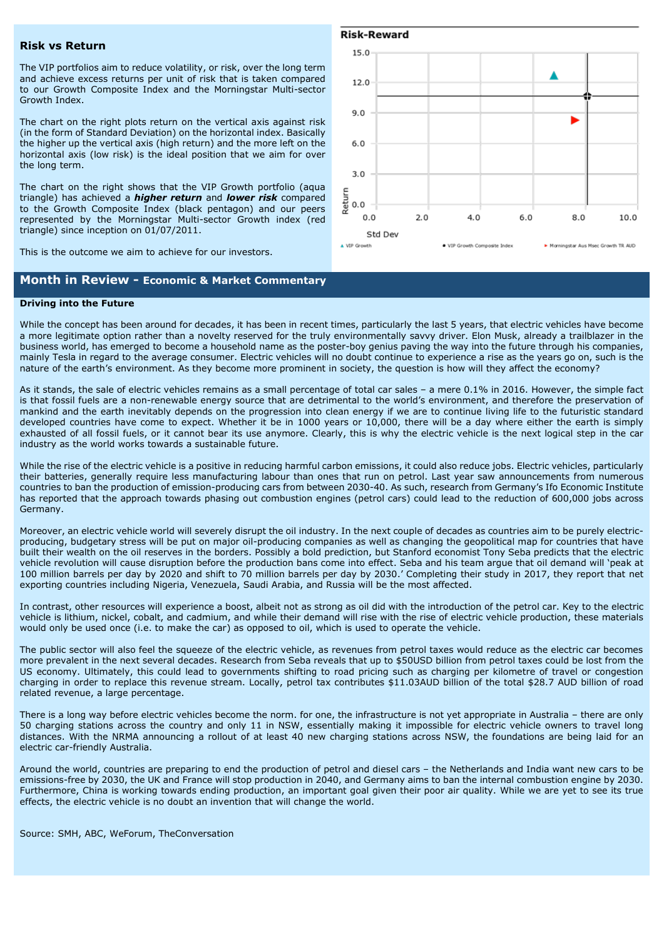#### **Risk vs Return**

The VIP portfolios aim to reduce volatility, or risk, over the long term and achieve excess returns per unit of risk that is taken compared to our Growth Composite Index and the Morningstar Multi-sector Growth Index.

The chart on the right plots return on the vertical axis against risk (in the form of Standard Deviation) on the horizontal index. Basically the higher up the vertical axis (high return) and the more left on the horizontal axis (low risk) is the ideal position that we aim for over the long term.

The chart on the right shows that the VIP Growth portfolio (aqua triangle) has achieved a *higher return* and *lower risk* compared to the Growth Composite Index (black pentagon) and our peers represented by the Morningstar Multi-sector Growth index (red triangle) since inception on 01/07/2011.

This is the outcome we aim to achieve for our investors.

# **Month in Review - Economic & Market Commentary**

#### **Risk-Reward**



#### **Driving into the Future**

While the concept has been around for decades, it has been in recent times, particularly the last 5 years, that electric vehicles have become a more legitimate option rather than a novelty reserved for the truly environmentally savvy driver. Elon Musk, already a trailblazer in the business world, has emerged to become a household name as the poster-boy genius paving the way into the future through his companies, mainly Tesla in regard to the average consumer. Electric vehicles will no doubt continue to experience a rise as the years go on, such is the nature of the earth's environment. As they become more prominent in society, the question is how will they affect the economy?

As it stands, the sale of electric vehicles remains as a small percentage of total car sales – a mere 0.1% in 2016. However, the simple fact is that fossil fuels are a non-renewable energy source that are detrimental to the world's environment, and therefore the preservation of mankind and the earth inevitably depends on the progression into clean energy if we are to continue living life to the futuristic standard developed countries have come to expect. Whether it be in 1000 years or 10,000, there will be a day where either the earth is simply exhausted of all fossil fuels, or it cannot bear its use anymore. Clearly, this is why the electric vehicle is the next logical step in the car industry as the world works towards a sustainable future.

While the rise of the electric vehicle is a positive in reducing harmful carbon emissions, it could also reduce jobs. Electric vehicles, particularly their batteries, generally require less manufacturing labour than ones that run on petrol. Last year saw announcements from numerous countries to ban the production of emission-producing cars from between 2030-40. As such, research from Germany's Ifo Economic Institute has reported that the approach towards phasing out combustion engines (petrol cars) could lead to the reduction of 600,000 jobs across Germany.

Moreover, an electric vehicle world will severely disrupt the oil industry. In the next couple of decades as countries aim to be purely electricproducing, budgetary stress will be put on major oil-producing companies as well as changing the geopolitical map for countries that have built their wealth on the oil reserves in the borders. Possibly a bold prediction, but Stanford economist Tony Seba predicts that the electric vehicle revolution will cause disruption before the production bans come into effect. Seba and his team argue that oil demand will 'peak at 100 million barrels per day by 2020 and shift to 70 million barrels per day by 2030.' Completing their study in 2017, they report that net exporting countries including Nigeria, Venezuela, Saudi Arabia, and Russia will be the most affected.

In contrast, other resources will experience a boost, albeit not as strong as oil did with the introduction of the petrol car. Key to the electric vehicle is lithium, nickel, cobalt, and cadmium, and while their demand will rise with the rise of electric vehicle production, these materials would only be used once (i.e. to make the car) as opposed to oil, which is used to operate the vehicle.

The public sector will also feel the squeeze of the electric vehicle, as revenues from petrol taxes would reduce as the electric car becomes more prevalent in the next several decades. Research from Seba reveals that up to \$50USD billion from petrol taxes could be lost from the US economy. Ultimately, this could lead to governments shifting to road pricing such as charging per kilometre of travel or congestion charging in order to replace this revenue stream. Locally, petrol tax contributes \$11.03AUD billion of the total \$28.7 AUD billion of road related revenue, a large percentage.

There is a long way before electric vehicles become the norm. for one, the infrastructure is not yet appropriate in Australia – there are only 50 charging stations across the country and only 11 in NSW, essentially making it impossible for electric vehicle owners to travel long distances. With the NRMA announcing a rollout of at least 40 new charging stations across NSW, the foundations are being laid for an electric car-friendly Australia.

Around the world, countries are preparing to end the production of petrol and diesel cars – the Netherlands and India want new cars to be emissions-free by 2030, the UK and France will stop production in 2040, and Germany aims to ban the internal combustion engine by 2030. Furthermore, China is working towards ending production, an important goal given their poor air quality. While we are yet to see its true effects, the electric vehicle is no doubt an invention that will change the world.

Source: SMH, ABC, WeForum, TheConversation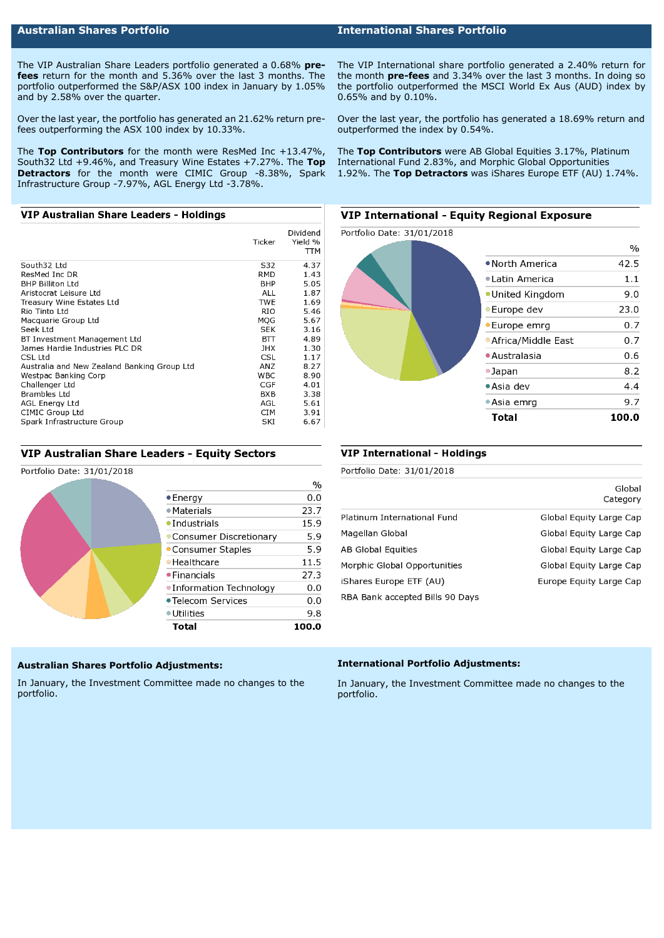## **Australian Shares Portfolio International Shares Portfolio**

The VIP Australian Share Leaders portfolio generated a 0.68% **prefees** return for the month and 5.36% over the last 3 months. The portfolio outperformed the S&P/ASX 100 index in January by 1.05% and by 2.58% over the quarter.

Over the last year, the portfolio has generated an 21.62% return prefees outperforming the ASX 100 index by 10.33%.

The **Top Contributors** for the month were ResMed Inc +13.47%, South32 Ltd +9.46%, and Treasury Wine Estates +7.27%. The **Top Detractors** for the month were CIMIC Group -8.38%, Spark Infrastructure Group -7.97%, AGL Energy Ltd -3.78%.

### VIP Australian Share Leaders - Holdings

|                                             | Ticker     | Dividend<br>Yield %<br>TTM |
|---------------------------------------------|------------|----------------------------|
| South32 Ltd                                 | S32        | 4.37                       |
| ResMed Inc DR                               | RMD        | 1.43                       |
| <b>BHP Billiton Ltd</b>                     | BHP        | 5.05                       |
| Aristocrat Leisure Ltd                      | <b>ALL</b> | 1.87                       |
| Treasury Wine Estates Ltd                   | TWE        | 1.69                       |
| Rio Tinto Ltd                               | RIO        | 5.46                       |
| Macquarie Group Ltd                         | MOG        | 5.67                       |
| Seek Ltd                                    | SEK        | 3.16                       |
| BT Investment Management Ltd                | BП         | 4.89                       |
| James Hardie Industries PLC DR              | JHX        | 1.30                       |
| CSL Ltd                                     | CSL        | 1.17                       |
| Australia and New Zealand Banking Group Ltd | ANZ        | 8.27                       |
| Westpac Banking Corp                        | <b>WBC</b> | 8.90                       |
| Challenger Ltd                              | CGF        | 4.01                       |
| Brambles Ltd                                | BXB        | 3.38                       |
| <b>AGL Energy Ltd</b>                       | AGL        | 5.61                       |
| CIMIC Group Ltd                             | <b>CIM</b> | 3.91                       |
| Spark Infrastructure Group                  | SKI        | 6.67                       |

#### VIP Australian Share Leaders - Equity Sectors

#### Portfolio Date: 31/01/2018

|                          | $\%$  |
|--------------------------|-------|
| $\bullet$ Energy         | 0,0   |
| $\bullet$ Materials      | 23.7  |
| • Industrials            | 15.9  |
| • Consumer Discretionary | 5.9   |
| • Consumer Staples       | 5.9   |
| • Healthcare             | 11.5  |
| • Financials             | 27.3  |
| •Information Technology  | 0.0   |
| • Telecom Services       | 0.0   |
| $\bullet$ Utilities      | 9.8   |
| Total                    | 100.0 |

#### **Australian Shares Portfolio Adjustments:**

In January, the Investment Committee made no changes to the portfolio.

The VIP International share portfolio generated a 2.40% return for the month **pre-fees** and 3.34% over the last 3 months. In doing so the portfolio outperformed the MSCI World Ex Aus (AUD) index by 0.65% and by 0.10%.

Over the last year, the portfolio has generated a 18.69% return and outperformed the index by 0.54%.

The **Top Contributors** were AB Global Equities 3.17%, Platinum International Fund 2.83%, and Morphic Global Opportunities 1.92%. The **Top Detractors** was iShares Europe ETF (AU) 1.74%.

### **VIP International - Equity Regional Exposure**



#### **VIP International - Holdings**

Portfolio Date: 31/01/2018

|                                 | uiuuai<br>Category      |
|---------------------------------|-------------------------|
| Platinum International Fund     | Global Equity Large Cap |
| Magellan Global                 | Global Equity Large Cap |
| AB Global Equities              | Global Equity Large Cap |
| Morphic Global Opportunities    | Global Equity Large Cap |
| iShares Europe ETF (AU)         | Europe Equity Large Cap |
| RBA Bank accepted Bills 90 Days |                         |

 $C = 5$ 

#### **International Portfolio Adjustments:**

In January, the Investment Committee made no changes to the portfolio.